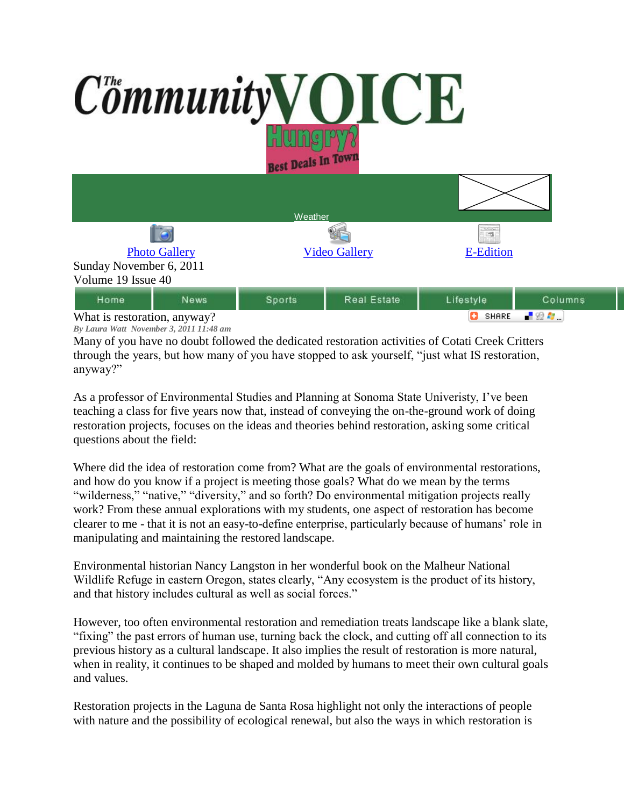## Community VOICE **Best Deals In Town**

|                              |      | Weather              |             |                                  |         |
|------------------------------|------|----------------------|-------------|----------------------------------|---------|
| G                            |      |                      |             | <b>Schools</b><br>$\mathbb{R}^n$ |         |
| <b>Photo Gallery</b>         |      | <b>Video Gallery</b> |             | <b>E-Edition</b>                 |         |
| Sunday November 6, 2011      |      |                      |             |                                  |         |
| Volume 19 Issue 40           |      |                      |             |                                  |         |
| Home                         | News | Sports               | Real Estate | Lifestyle                        | Columns |
| What is restoration, anyway? |      |                      |             | 上帝身。<br>o<br>SHARE               |         |

What is restoration, anyway? *By Laura Watt November 3, 2011 11:48 am*

Many of you have no doubt followed the dedicated restoration activities of Cotati Creek Critters through the years, but how many of you have stopped to ask yourself, "just what IS restoration, anyway?"

As a professor of Environmental Studies and Planning at Sonoma State Univeristy, I've been teaching a class for five years now that, instead of conveying the on-the-ground work of doing restoration projects, focuses on the ideas and theories behind restoration, asking some critical questions about the field:

Where did the idea of restoration come from? What are the goals of environmental restorations, and how do you know if a project is meeting those goals? What do we mean by the terms "wilderness," "native," "diversity," and so forth? Do environmental mitigation projects really work? From these annual explorations with my students, one aspect of restoration has become clearer to me - that it is not an easy-to-define enterprise, particularly because of humans' role in manipulating and maintaining the restored landscape.

Environmental historian Nancy Langston in her wonderful book on the Malheur National Wildlife Refuge in eastern Oregon, states clearly, "Any ecosystem is the product of its history, and that history includes cultural as well as social forces."

However, too often environmental restoration and remediation treats landscape like a blank slate, "fixing" the past errors of human use, turning back the clock, and cutting off all connection to its previous history as a cultural landscape. It also implies the result of restoration is more natural, when in reality, it continues to be shaped and molded by humans to meet their own cultural goals and values.

Restoration projects in the Laguna de Santa Rosa highlight not only the interactions of people with nature and the possibility of ecological renewal, but also the ways in which restoration is